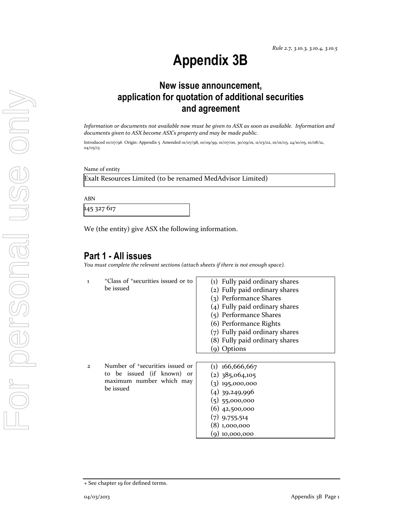# **Appendix 3B**

# **New issue announcement, application for quotation of additional securities and agreement**

*Information or documents not available now must be given to ASX as soon as available. Information and documents given to ASX become ASX's property and may be made public.* 

Introduced 01/07/96 Origin: Appendix 5 Amended 01/07/98, 01/09/99, 01/07/00, 30/09/01, 11/03/02, 01/01/03, 24/10/05, 01/08/12, 04/03/13

Name of entity

Exalt Resources Limited (to be renamed MedAdvisor Limited)

ABN

145 327 617

We (the entity) give ASX the following information.

## **Part 1 - All issues**

*You must complete the relevant sections (attach sheets if there is not enough space).*

| $\mathbf{I}$ | <sup>+</sup> Class of <sup>+</sup> securities issued or to<br>be issued                                            | (1) Fully paid ordinary shares<br>(2) Fully paid ordinary shares<br>(3) Performance Shares<br>(4) Fully paid ordinary shares<br>(5) Performance Shares<br>(6) Performance Rights<br>(7) Fully paid ordinary shares<br>(8) Fully paid ordinary shares<br>(9) Options |
|--------------|--------------------------------------------------------------------------------------------------------------------|---------------------------------------------------------------------------------------------------------------------------------------------------------------------------------------------------------------------------------------------------------------------|
| $\mathbf{2}$ | Number of <sup>+</sup> securities issued or<br>to be issued (if known) or<br>maximum number which may<br>be issued | $(1)$ 166,666,667<br>$(2)$ 385,064,105<br>$(3)$ 195,000,000<br>$(4)$ 39,249,996<br>$(5)$ 55,000,000<br>$(6)$ 42,500,000<br>$(7)$ 9,755,514<br>(8) 1,000,000<br>$(9)$ 10,000,000                                                                                     |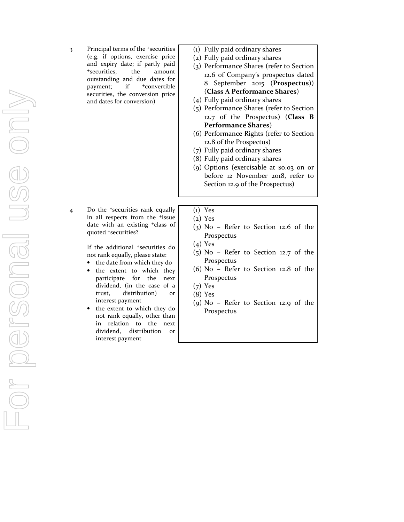3 Principal terms of the +securities (e.g. if options, exercise price and expiry date; if partly paid +securities, the amount outstanding and due dates for payment; if  $+$ convertible securities, the conversion price and dates for conversion)

4 Do the +securities rank equally in all respects from the +issue date with an existing +class of quoted +securities?

> If the additional +securities do not rank equally, please state:

- the date from which they do
- the extent to which they participate for the next dividend, (in the case of a trust, distribution) or interest payment
- the extent to which they do not rank equally, other than in relation to the next dividend, distribution or interest payment
- (1) Fully paid ordinary shares
- (2) Fully paid ordinary shares
- (3) Performance Shares (refer to Section 12.6 of Company's prospectus dated 8 September 2015 (**Prospectus**)) (**Class A Performance Shares**)
- (4) Fully paid ordinary shares
- (5) Performance Shares (refer to Section 12.7 of the Prospectus) (**Class B Performance Shares**)
- (6) Performance Rights (refer to Section 12.8 of the Prospectus)
- (7) Fully paid ordinary shares
- (8) Fully paid ordinary shares
- (9) Options (exercisable at \$0.03 on or before 12 November 2018, refer to Section 12.9 of the Prospectus)
- (1) Yes
- (2) Yes
- (3) No Refer to Section 12.6 of the Prospectus
- (4) Yes
- (5) No Refer to Section 12.7 of the Prospectus
- (6) No Refer to Section 12.8 of the Prospectus
- (7) Yes
- (8) Yes
- (9) No Refer to Section 12.9 of the Prospectus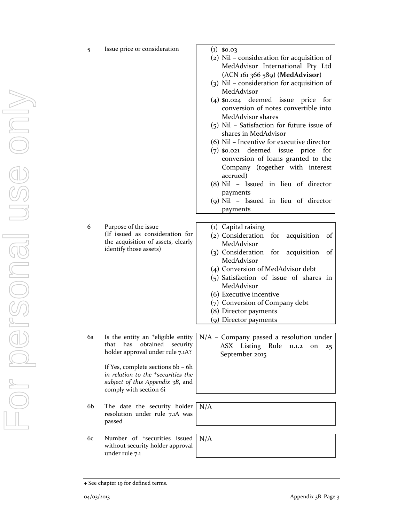|   |                                                                                                 | $(3)$ NII – consid<br>MedAdvisor                  |
|---|-------------------------------------------------------------------------------------------------|---------------------------------------------------|
|   |                                                                                                 | $(4)$ \$0.024 dee<br>conversion o                 |
|   |                                                                                                 | MedAdvisor<br>$(5)$ Nil - Satisfa<br>shares in Me |
|   |                                                                                                 | (6) Nil – Incenti                                 |
|   |                                                                                                 | $(7)$ \$0.021 dee<br>conversion                   |
|   |                                                                                                 | Company (<br>accrued)                             |
|   |                                                                                                 | $(8)$ Nil – Issue<br>payments                     |
|   |                                                                                                 | $(g)$ Nil – Issue<br>payments                     |
|   |                                                                                                 |                                                   |
| 6 | Purpose of the issue                                                                            | (1) Capital raisi                                 |
|   | (If issued as consideration for<br>the acquisition of assets, clearly<br>identify those assets) | (2) Consideratio                                  |
|   |                                                                                                 | MedAdvisor                                        |
|   |                                                                                                 | (3) Consideratio                                  |
|   |                                                                                                 | MedAdvisor                                        |

6a Is the entity an +eligible entity that has obtained security holder approval under rule 7.1A?

> If Yes, complete sections 6b – 6h *in relation to the +securities the subject of this Appendix 3B*, and comply with section 6i

- 6b The date the security holder resolution under rule 7.1A was passed
- 6c Number of +securities issued without security holder approval under rule 7.1

5 Issue price or consideration (1) \$0.03

- (2) Nil consideration for acquisition of MedAdvisor International Pty Ltd (ACN 161 366 589) (**MedAdvisor**)
- (3) Nil consideration for acquisition of MedAdvisor
- emed issue price for of notes convertible into shares
- (ction for future issue of edAdvisor
- ive for executive director
- med issue price for of loans granted to the (together with interest
- ed in lieu of director
- ed in lieu of director
- ng
- on for acquisition of MedAdvisor
- on for acquisition of MedAdvisor
- (4) Conversion of MedAdvisor debt
- (5) Satisfaction of issue of shares in MedAdvisor
- (6) Executive incentive
- (7) Conversion of Company debt
- (8) Director payments
- (9) Director payments

N/A – Company passed a resolution under ASX Listing Rule 11.1.2 on 25 September 2015

N/A

N/A

<sup>+</sup> See chapter 19 for defined terms.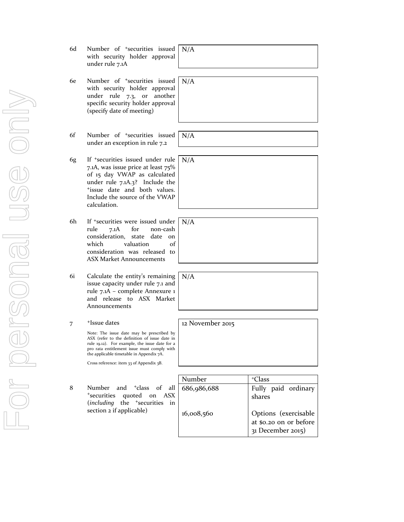- 6d Number of +securities issued with security holder approval under rule 7.1A N/A
- 6e Number of +securities issued with security holder approval under rule 7.3, or another specific security holder approval (specify date of meeting)
- 6f Number of +securities issued under an exception in rule 7.2
- 6g If +securities issued under rule 7.1A, was issue price at least 75% of 15 day VWAP as calculated under rule 7.1A.3? Include the <sup>+</sup>issue date and both values. Include the source of the VWAP calculation.
- 6h If +securities were issued under rule 7.1A for non-cash consideration, state date on which valuation of consideration was released to ASX Market Announcements
- 6i Calculate the entity's remaining issue capacity under rule 7.1 and rule 7.1A – complete Annexure 1 and release to ASX Market Announcements
- 7 +Issue dates

Note: The issue date may be prescribed by ASX (refer to the definition of issue date in rule 19.12). For example, the issue date for a pro rata entitlement issue must comply with the applicable timetable in Appendix 7A.

Cross reference: item 33 of Appendix 3B.

|   |                                              | Number      | <sup>+</sup> Class     |
|---|----------------------------------------------|-------------|------------------------|
| 8 | Number and <sup>+</sup> class of all         | 686,986,688 | Fully paid ordinary    |
|   | *securities quoted on ASX                    |             | shares                 |
|   | (including the <sup>+</sup> securities<br>in |             |                        |
|   | section 2 if applicable)                     | 16,008,560  | Options (exercisable   |
|   |                                              |             | at \$0.20 on or before |
|   |                                              |             | 31 December 2015)      |

N/A

N/A



N/A

N/A

12 November 2015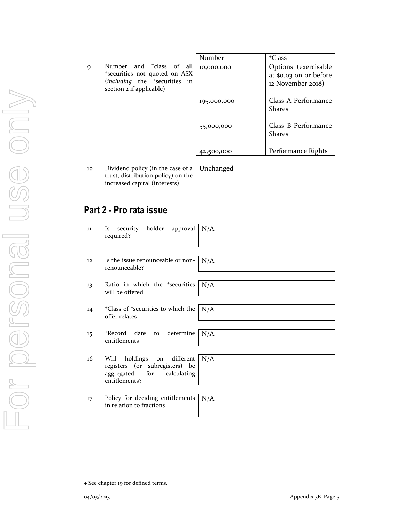|   |                                                                               | Number      | <sup>+</sup> Class                   |
|---|-------------------------------------------------------------------------------|-------------|--------------------------------------|
| 9 | Number and <sup>+</sup> class of all                                          | 10,000,000  | Options (exercisable                 |
|   | <sup>+</sup> securities not quoted on ASX                                     |             | at \$0.03 on or before               |
|   | ( <i>including</i> the <sup>+</sup> securities in<br>section 2 if applicable) |             | 12 November 2018)                    |
|   |                                                                               | 195,000,000 | Class A Performance<br><b>Shares</b> |
|   |                                                                               | 55,000,000  | Class B Performance<br><b>Shares</b> |
|   |                                                                               | 42,500,000  | Performance Rights                   |

10 Dividend policy (in the case of a trust, distribution policy) on the increased capital (interests)

| Unchanged |  |  |
|-----------|--|--|
|           |  |  |

## **Part 2 - Pro rata issue**

| 11 | Is security holder approval   N/A<br>required?                                                                              |
|----|-----------------------------------------------------------------------------------------------------------------------------|
| 12 | Is the issue renounceable or non-<br>N/A<br>renounceable?                                                                   |
| 13 | N/A<br>Ratio in which the <sup>+</sup> securities<br>will be offered                                                        |
| 14 | <sup>+</sup> Class of <sup>+</sup> securities to which the<br>N/A<br>offer relates                                          |
| 15 | *Record date to determine<br>N/A<br>entitlements                                                                            |
| 16 | different<br>N/A<br>holdings on<br>Will<br>registers (or subregisters) be<br>aggregated for<br>calculating<br>entitlements? |
| 17 | Policy for deciding entitlements<br>N/A<br>in relation to fractions                                                         |

<sup>+</sup> See chapter 19 for defined terms.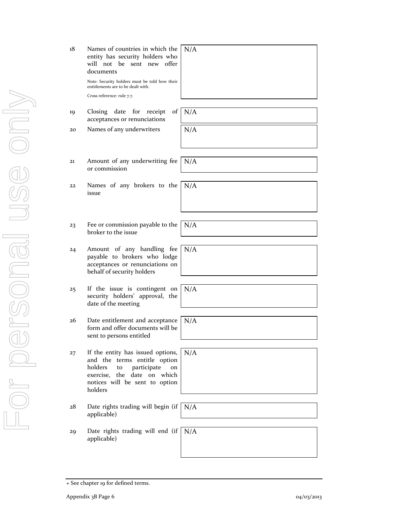| 18 | Names of countries in which the<br>entity has security holders who<br>will not be sent new offer<br>documents<br>Note: Security holders must be told how their<br>entitlements are to be dealt with.<br>Cross reference: rule 7.7. | N/A |
|----|------------------------------------------------------------------------------------------------------------------------------------------------------------------------------------------------------------------------------------|-----|
| 19 | Closing date<br>for<br>receipt<br>of 1<br>acceptances or renunciations                                                                                                                                                             | N/A |
| 20 | Names of any underwriters                                                                                                                                                                                                          | N/A |
| 21 | Amount of any underwriting fee<br>or commission                                                                                                                                                                                    | N/A |
| 22 | Names of any brokers to the<br>issue                                                                                                                                                                                               | N/A |
|    |                                                                                                                                                                                                                                    |     |
| 23 | Fee or commission payable to the<br>broker to the issue                                                                                                                                                                            | N/A |
| 24 | Amount of any handling fee<br>payable to brokers who lodge<br>acceptances or renunciations on<br>behalf of security holders                                                                                                        | N/A |
| 25 | If the issue is contingent on<br>security holders' approval, the<br>date of the meeting                                                                                                                                            | N/A |
| 26 | Date entitlement and acceptance<br>form and offer documents will be<br>sent to persons entitled                                                                                                                                    | N/A |
| 27 | If the entity has issued options,<br>and the terms entitle option<br>holders<br>participate<br>to<br>on<br>exercise, the date on which<br>notices will be sent to option<br>holders                                                | N/A |
| 28 | Date rights trading will begin (if<br>applicable)                                                                                                                                                                                  | N/A |
| 29 | Date rights trading will end (if<br>applicable)                                                                                                                                                                                    | N/A |

ЛĻ

<sup>+</sup> See chapter 19 for defined terms.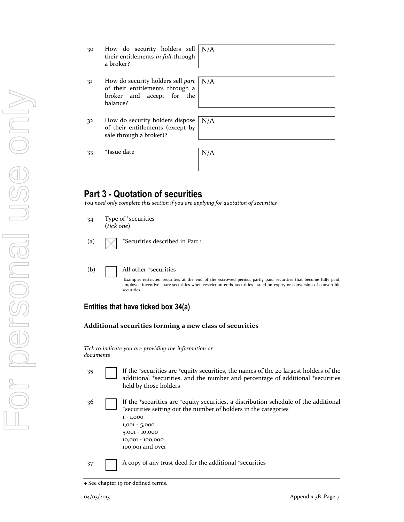- 31 How do security holders sell *part* of their entitlements through a broker and accept for the balance?
- 32 How do security holders dispose of their entitlements (except by sale through a broker)?

 $33$   $+$ Issue date  $N/A$ 

## **Part 3 - Quotation of securities**

*You need only complete this section if you are applying for quotation of securities* 

- 34 Type of <sup>+</sup>securities (*tick one*)
- (a)  $\bigwedge$  +Securities described in Part 1
- (b)  $\Box$  All other  $\ddagger$  securities

Example: restricted securities at the end of the escrowed period, partly paid securities that become fully paid, employee incentive share securities when restriction ends, securities issued on expiry or conversion of convertible securities

### **Entities that have ticked box 34(a)**

#### **Additional securities forming a new class of securities**

*Tick to indicate you are providing the information or documents*

- 35 If the <sup>+</sup>securities are <sup>+</sup>equity securities, the names of the 20 largest holders of the additional <sup>+</sup>securities, and the number and percentage of additional <sup>+</sup>securities held by those holders
- 36 **If the 'securities are 'equity securities, a distribution schedule of the additional** <sup>+</sup>securities setting out the number of holders in the categories 1 - 1,000 1,001 - 5,000 5,001 - 10,000 10,001 - 100,000
	- 100,001 and over
- 37 A copy of any trust deed for the additional +securities

N/A

N/A

<sup>+</sup> See chapter 19 for defined terms.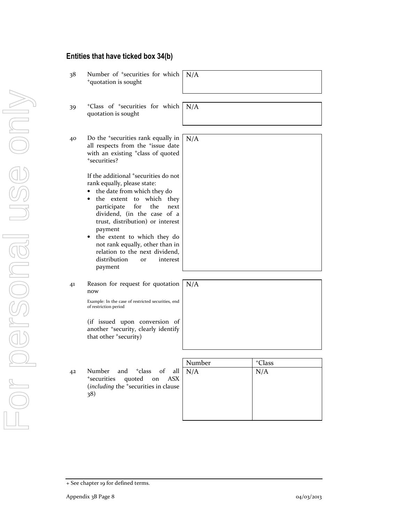## **Entities that have ticked box 34(b)**

| 38 | Number of <sup>+</sup> securities for which<br><sup>+</sup> quotation is sought                                                                                                                                                                                                                                                                                                                                                                                                                                                                                                                | N/A    |                    |
|----|------------------------------------------------------------------------------------------------------------------------------------------------------------------------------------------------------------------------------------------------------------------------------------------------------------------------------------------------------------------------------------------------------------------------------------------------------------------------------------------------------------------------------------------------------------------------------------------------|--------|--------------------|
| 39 | <sup>+</sup> Class of <sup>+</sup> securities for which<br>quotation is sought                                                                                                                                                                                                                                                                                                                                                                                                                                                                                                                 | N/A    |                    |
| 40 | Do the <sup>+</sup> securities rank equally in<br>all respects from the <sup>+</sup> issue date<br>with an existing <sup>+</sup> class of quoted<br>*securities?<br>If the additional <sup>+</sup> securities do not<br>rank equally, please state:<br>the date from which they do<br>the extent to which they<br>participate<br>for<br>the<br>next<br>dividend, (in the case of a<br>trust, distribution) or interest<br>payment<br>the extent to which they do<br>٠<br>not rank equally, other than in<br>relation to the next dividend,<br>distribution<br>interest<br><b>Or</b><br>payment | N/A    |                    |
| 41 | Reason for request for quotation<br>now<br>Example: In the case of restricted securities, end<br>of restriction period<br>(if issued upon conversion of<br>another <sup>+</sup> security, clearly identify<br>that other +security)                                                                                                                                                                                                                                                                                                                                                            | N/A    |                    |
|    |                                                                                                                                                                                                                                                                                                                                                                                                                                                                                                                                                                                                | Number | <sup>+</sup> Class |
| 42 | and <sup>+</sup> class<br>of<br>Number<br>all<br>$^{\mathrm{+}}$ securities<br>quoted on<br><b>ASX</b><br>(including the <sup>+</sup> securities in clause<br>38)                                                                                                                                                                                                                                                                                                                                                                                                                              | N/A    | N/A                |

<sup>+</sup> See chapter 19 for defined terms.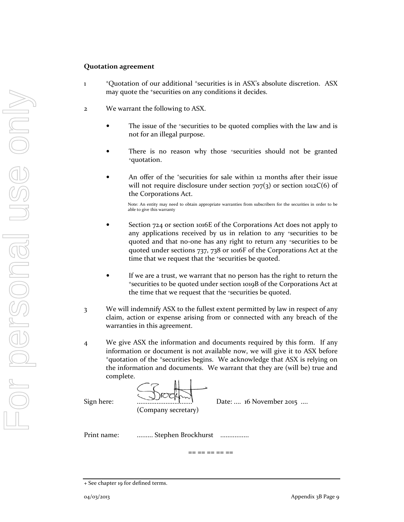#### **Quotation agreement**

- 1 <sup>+</sup>Quotation of our additional <sup>+</sup>securities is in ASX's absolute discretion. ASX may quote the <sup>+</sup>securities on any conditions it decides.
- 2 We warrant the following to ASX.
	- The issue of the +securities to be quoted complies with the law and is not for an illegal purpose.
	- There is no reason why those \*securities should not be granted <sup>+</sup>quotation.
	- An offer of the *'securities* for sale within 12 months after their issue will not require disclosure under section  $707(3)$  or section 1012C(6) of the Corporations Act.

Note: An entity may need to obtain appropriate warranties from subscribers for the securities in order to be able to give this warranty

- Section 724 or section 1016E of the Corporations Act does not apply to any applications received by us in relation to any +securities to be quoted and that no-one has any right to return any +securities to be quoted under sections 737, 738 or 1016F of the Corporations Act at the time that we request that the *\*securities* be quoted.
- If we are a trust, we warrant that no person has the right to return the <sup>+</sup>securities to be quoted under section 1019B of the Corporations Act at the time that we request that the +securities be quoted.
- 3 We will indemnify ASX to the fullest extent permitted by law in respect of any claim, action or expense arising from or connected with any breach of the warranties in this agreement.
- 4 We give ASX the information and documents required by this form. If any information or document is not available now, we will give it to ASX before <sup>+</sup>quotation of the <sup>+</sup>securities begins. We acknowledge that ASX is relying on the information and documents. We warrant that they are (will be) true and complete.

(Company secretary)

Sign here: ............................... Date: .... 16 November 2015 ....

Print name: .......... Stephen Brockhurst ................

== == == == ==

<sup>+</sup> See chapter 19 for defined terms.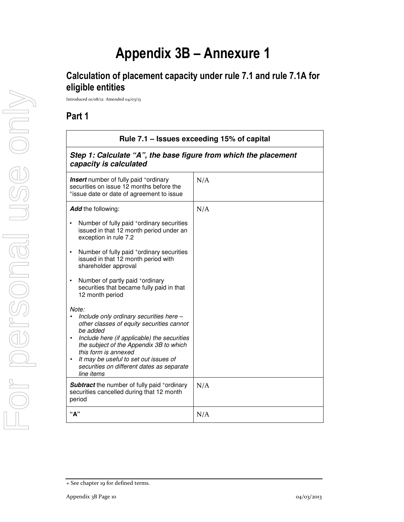# **Appendix 3B – Annexure 1**

# **Calculation of placement capacity under rule 7.1 and rule 7.1A for eligible entities**

Introduced 01/08/12 Amended 04/03/13

## **Part 1**

| Rule 7.1 - Issues exceeding 15% of capital                                                                                                                                                                                                                                                                                      |     |  |
|---------------------------------------------------------------------------------------------------------------------------------------------------------------------------------------------------------------------------------------------------------------------------------------------------------------------------------|-----|--|
| Step 1: Calculate "A", the base figure from which the placement<br>capacity is calculated                                                                                                                                                                                                                                       |     |  |
| <b>Insert</b> number of fully paid <sup>+</sup> ordinary<br>securities on issue 12 months before the<br>*issue date or date of agreement to issue                                                                                                                                                                               | N/A |  |
| Add the following:<br>Number of fully paid +ordinary securities                                                                                                                                                                                                                                                                 | N/A |  |
| issued in that 12 month period under an<br>exception in rule 7.2                                                                                                                                                                                                                                                                |     |  |
| Number of fully paid <sup>+</sup> ordinary securities<br>issued in that 12 month period with<br>shareholder approval                                                                                                                                                                                                            |     |  |
| Number of partly paid +ordinary<br>securities that became fully paid in that<br>12 month period                                                                                                                                                                                                                                 |     |  |
| Note:<br>Include only ordinary securities here -<br>other classes of equity securities cannot<br>be added<br>Include here (if applicable) the securities<br>the subject of the Appendix 3B to which<br>this form is annexed<br>It may be useful to set out issues of<br>securities on different dates as separate<br>line items |     |  |
| <b>Subtract</b> the number of fully paid +ordinary<br>securities cancelled during that 12 month<br>period                                                                                                                                                                                                                       | N/A |  |
| "А"                                                                                                                                                                                                                                                                                                                             | N/A |  |

<sup>+</sup> See chapter 19 for defined terms.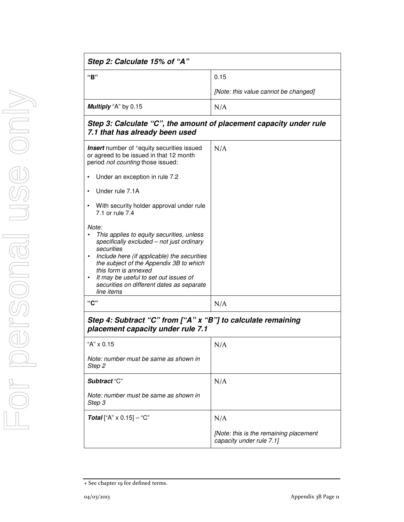| Step 2: Calculate 15% of "A" |                                      |  |
|------------------------------|--------------------------------------|--|
| "B"                          | 0.15                                 |  |
|                              | [Note: this value cannot be changed] |  |
| Multiply "A" by 0.15         | N/A                                  |  |
| _ _ _ _ _ _                  |                                      |  |

### *Step 3: Calculate "C", the amount of placement capacity under rule 7.1 that has already been used*

| <b>Insert</b> number of <sup>+</sup> equity securities issued<br>or agreed to be issued in that 12 month       | N/A |
|----------------------------------------------------------------------------------------------------------------|-----|
| period not counting those issued:                                                                              |     |
| Under an exception in rule 7.2                                                                                 |     |
| Under rule 7.1A                                                                                                |     |
| With security holder approval under rule<br>7.1 or rule 7.4                                                    |     |
| Note:                                                                                                          |     |
| This applies to equity securities, unless<br>specifically excluded - not just ordinary<br>securities           |     |
| Include here (if applicable) the securities<br>the subject of the Appendix 3B to which<br>this form is annexed |     |
| It may be useful to set out issues of<br>$\bullet$<br>securities on different dates as separate<br>line items  |     |
| "C"                                                                                                            | N/A |
| Step 4: Subtract "C" from ["A" x "B"] to calculate remaining<br>placement capacity under rule 7.1              |     |
| "A" $\times$ 0.15                                                                                              | N/A |
| Note: number must be same as shown in<br>Step 2                                                                |     |

N/A

*[Note: this is the remaining placement* 

*capacity under rule 7.1]* 

*Note: number must be same as shown in* 

**Total** ["A" x 0.15] – "C"  $N/A$ 

*Subtract* "C"

*Step 3*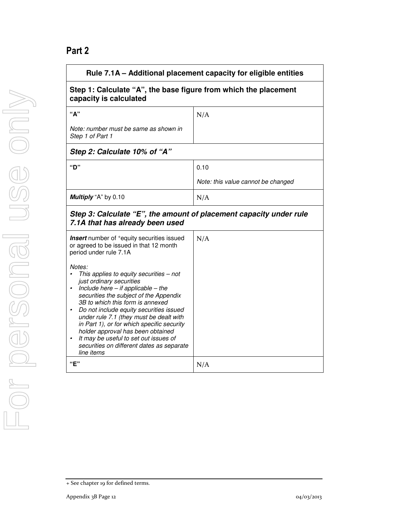# **Part 2**

| Rule 7.1A – Additional placement capacity for eligible entities                                                                                                                                                                                                                                                                                                                                                                                                                                              |                                    |  |
|--------------------------------------------------------------------------------------------------------------------------------------------------------------------------------------------------------------------------------------------------------------------------------------------------------------------------------------------------------------------------------------------------------------------------------------------------------------------------------------------------------------|------------------------------------|--|
| Step 1: Calculate "A", the base figure from which the placement<br>capacity is calculated                                                                                                                                                                                                                                                                                                                                                                                                                    |                                    |  |
| "А"                                                                                                                                                                                                                                                                                                                                                                                                                                                                                                          | N/A                                |  |
| Note: number must be same as shown in<br>Step 1 of Part 1                                                                                                                                                                                                                                                                                                                                                                                                                                                    |                                    |  |
| Step 2: Calculate 10% of "A"                                                                                                                                                                                                                                                                                                                                                                                                                                                                                 |                                    |  |
| "D"                                                                                                                                                                                                                                                                                                                                                                                                                                                                                                          | 0.10                               |  |
|                                                                                                                                                                                                                                                                                                                                                                                                                                                                                                              | Note: this value cannot be changed |  |
| Multiply "A" by 0.10                                                                                                                                                                                                                                                                                                                                                                                                                                                                                         | N/A                                |  |
| Step 3: Calculate "E", the amount of placement capacity under rule<br>7.1A that has already been used                                                                                                                                                                                                                                                                                                                                                                                                        |                                    |  |
| <b>Insert</b> number of <sup>+</sup> equity securities issued<br>or agreed to be issued in that 12 month<br>period under rule 7.1A                                                                                                                                                                                                                                                                                                                                                                           | N/A                                |  |
| Notes:<br>This applies to equity securities - not<br>just ordinary securities<br>Include here $-$ if applicable $-$ the<br>securities the subject of the Appendix<br>3B to which this form is annexed<br>Do not include equity securities issued<br>$\bullet$<br>under rule 7.1 (they must be dealt with<br>in Part 1), or for which specific security<br>holder approval has been obtained<br>It may be useful to set out issues of<br>$\bullet$<br>securities on different dates as separate<br>line items |                                    |  |
| "E"                                                                                                                                                                                                                                                                                                                                                                                                                                                                                                          | N/A                                |  |

<sup>+</sup> See chapter 19 for defined terms.